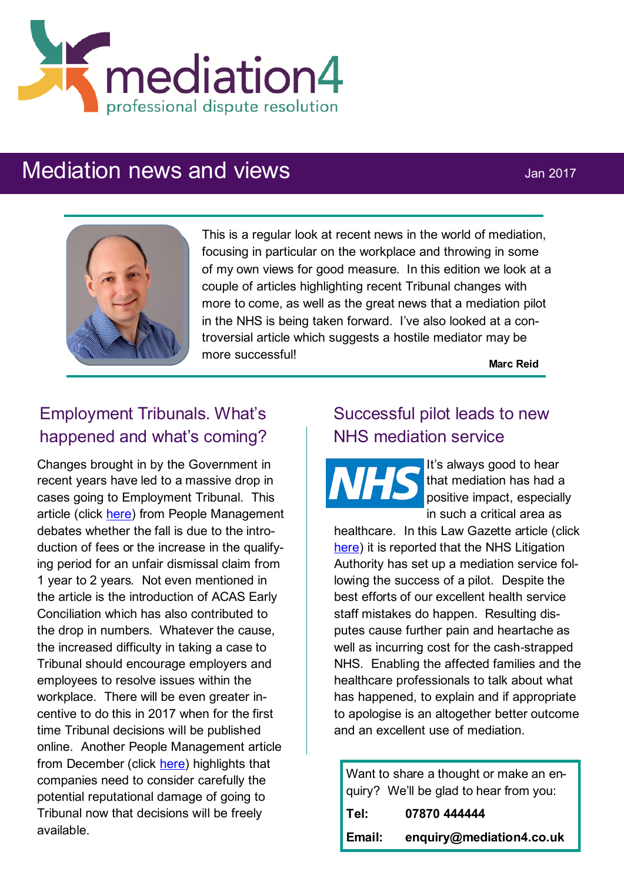

# Mediation news and views Jan 2017



This is a regular look at recent news in the world of mediation, focusing in particular on the workplace and throwing in some of my own views for good measure. In this edition we look at a couple of articles highlighting recent Tribunal changes with more to come, as well as the great news that a mediation pilot in the NHS is being taken forward. I've also looked at a controversial article which suggests a hostile mediator may be more successful!

**Marc Reid**

## Employment Tribunals. What's happened and what's coming?

Changes brought in by the Government in recent years have led to a massive drop in cases going to Employment Tribunal. This article (click [here\)](http://www2.cipd.co.uk/pm/peoplemanagement/b/weblog/archive/2016/11/04/experts-clash-over-huge-drop-in-tribunal-claims.aspx) from People Management debates whether the fall is due to the introduction of fees or the increase in the qualifying period for an unfair dismissal claim from 1 year to 2 years. Not even mentioned in the article is the introduction of ACAS Early Conciliation which has also contributed to the drop in numbers. Whatever the cause, the increased difficulty in taking a case to Tribunal should encourage employers and employees to resolve issues within the workplace. There will be even greater incentive to do this in 2017 when for the first time Tribunal decisions will be published online. Another People Management article from December (click [here\)](http://www2.cipd.co.uk/pm/peoplemanagement/b/weblog/archive/2016/12/22/businesses-unaware-tribunal-verdicts-will-be-made-public-in-2017.aspx?utm_medium=email&utm_source=cipd&utm_campaign=pm_daily&utm_term=570597&utm_content=pm_daily_221216-8277-27395-20161) highlights that companies need to consider carefully the potential reputational damage of going to Tribunal now that decisions will be freely available.

### Successful pilot leads to new NHS mediation service

It's always good to hear that mediation has had a positive impact, especially in such a critical area as

healthcare. In this Law Gazette article (click [here\)](https://www.lawgazette.co.uk/news/nhsla-confirms-mediation-service-after-pilot-success/5059084.article) it is reported that the NHS Litigation Authority has set up a mediation service following the success of a pilot. Despite the best efforts of our excellent health service staff mistakes do happen. Resulting disputes cause further pain and heartache as well as incurring cost for the cash-strapped NHS. Enabling the affected families and the healthcare professionals to talk about what has happened, to explain and if appropriate to apologise is an altogether better outcome and an excellent use of mediation.

Want to share a thought or make an enquiry? We'll be glad to hear from you:

| Tel:   | 07870 444444             |
|--------|--------------------------|
| Email: | enquiry@mediation4.co.uk |